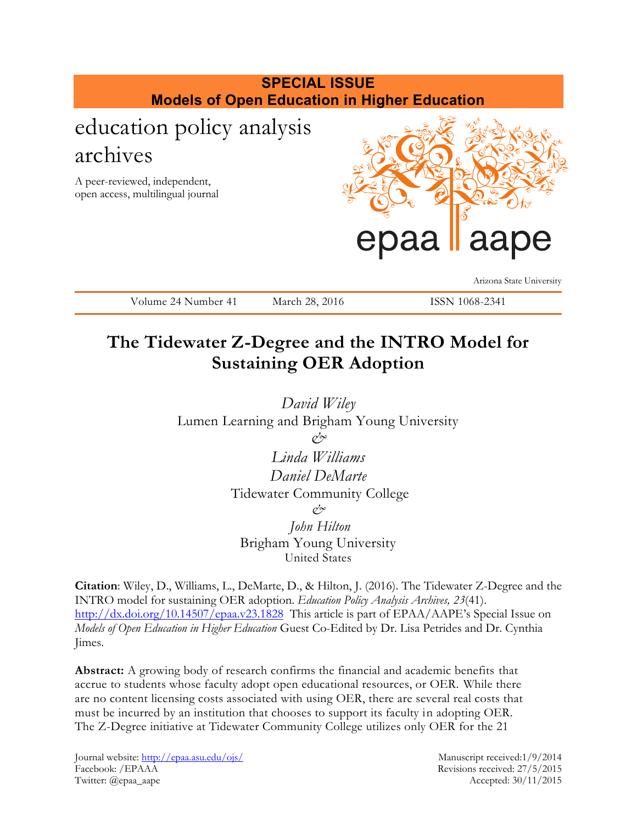

# **The Tidewater Z-Degree and the INTRO Model for Sustaining OER Adoption**

*David Wiley*  Lumen Learning and Brigham Young University *&*

> *Linda Williams Daniel DeMarte* Tidewater Community College *&*

*John Hilton*  Brigham Young University United States

**Citation**: Wiley, D., Williams, L., DeMarte, D., & Hilton, J. (2016). The Tidewater Z-Degree and the INTRO model for sustaining OER adoption. *Education Policy Analysis Archives, 23*(41). <http://dx.doi.org/10.14507/epaa.v23.1828>This article is part of EPAA/AAPE's Special Issue on *Models of Open Education in Higher Education* Guest Co-Edited by Dr. Lisa Petrides and Dr. Cynthia Jimes.

**Abstract:** A growing body of research confirms the financial and academic benefits that accrue to students whose faculty adopt open educational resources, or OER. While there are no content licensing costs associated with using OER, there are several real costs that must be incurred by an institution that chooses to support its faculty in adopting OER. The Z-Degree initiative at Tidewater Community College utilizes only OER for the 21

Journal website:<http://epaa.asu.edu/ojs/> Manuscript received:1/9/2014 Facebook: /EPAAA Revisions received: 27/5/2015 Twitter: @epaa\_aape Accepted: 30/11/2015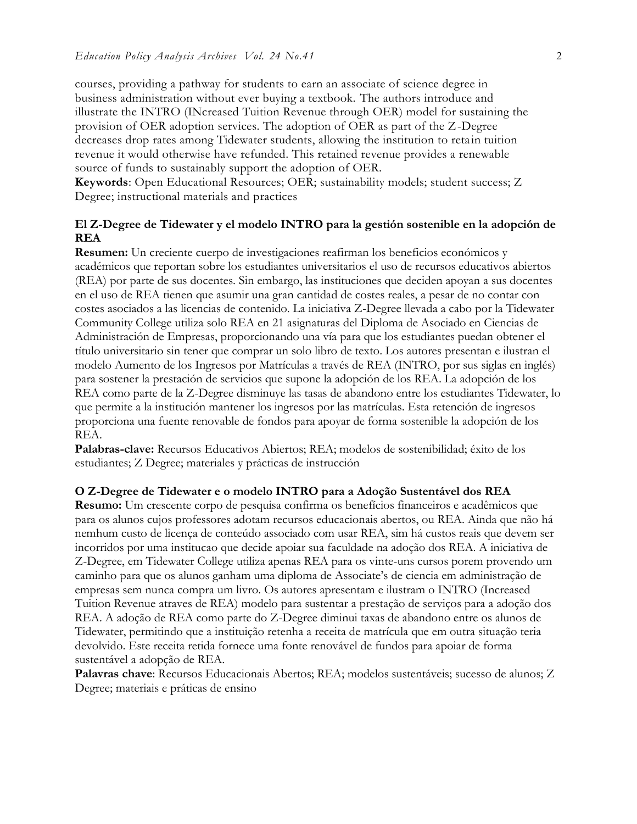courses, providing a pathway for students to earn an associate of science degree in business administration without ever buying a textbook. The authors introduce and illustrate the INTRO (INcreased Tuition Revenue through OER) model for sustaining the provision of OER adoption services. The adoption of OER as part of the Z-Degree decreases drop rates among Tidewater students, allowing the institution to retain tuition revenue it would otherwise have refunded. This retained revenue provides a renewable source of funds to sustainably support the adoption of OER.

**Keywords**: Open Educational Resources; OER; sustainability models; student success; Z Degree; instructional materials and practices

# **El Z-Degree de Tidewater y el modelo INTRO para la gestión sostenible en la adopción de REA**

**Resumen:** Un creciente cuerpo de investigaciones reafirman los beneficios económicos y académicos que reportan sobre los estudiantes universitarios el uso de recursos educativos abiertos (REA) por parte de sus docentes. Sin embargo, las instituciones que deciden apoyan a sus docentes en el uso de REA tienen que asumir una gran cantidad de costes reales, a pesar de no contar con costes asociados a las licencias de contenido. La iniciativa Z-Degree llevada a cabo por la Tidewater Community College utiliza solo REA en 21 asignaturas del Diploma de Asociado en Ciencias de Administración de Empresas, proporcionando una vía para que los estudiantes puedan obtener el título universitario sin tener que comprar un solo libro de texto. Los autores presentan e ilustran el modelo Aumento de los Ingresos por Matrículas a través de REA (INTRO, por sus siglas en inglés) para sostener la prestación de servicios que supone la adopción de los REA. La adopción de los REA como parte de la Z-Degree disminuye las tasas de abandono entre los estudiantes Tidewater, lo que permite a la institución mantener los ingresos por las matrículas. Esta retención de ingresos proporciona una fuente renovable de fondos para apoyar de forma sostenible la adopción de los REA.

**Palabras-clave:** Recursos Educativos Abiertos; REA; modelos de sostenibilidad; éxito de los estudiantes; Z Degree; materiales y prácticas de instrucción

#### **O Z-Degree de Tidewater e o modelo INTRO para a Adoção Sustentável dos REA**

**Resumo:** Um crescente corpo de pesquisa confirma os benefícios financeiros e acadêmicos que para os alunos cujos professores adotam recursos educacionais abertos, ou REA. Ainda que não há nemhum custo de licença de conteúdo associado com usar REA, sim há custos reais que devem ser incorridos por uma institucao que decide apoiar sua faculdade na adoção dos REA. A iniciativa de Z-Degree, em Tidewater College utiliza apenas REA para os vinte-uns cursos porem provendo um caminho para que os alunos ganham uma diploma de Associate's de ciencia em administração de empresas sem nunca compra um livro. Os autores apresentam e ilustram o INTRO (Increased Tuition Revenue atraves de REA) modelo para sustentar a prestação de serviços para a adoção dos REA. A adoção de REA como parte do Z-Degree diminui taxas de abandono entre os alunos de Tidewater, permitindo que a instituição retenha a receita de matrícula que em outra situação teria devolvido. Este receita retida fornece uma fonte renovável de fundos para apoiar de forma sustentável a adopção de REA.

**Palavras chave**: Recursos Educacionais Abertos; REA; modelos sustentáveis; sucesso de alunos; Z Degree; materiais e práticas de ensino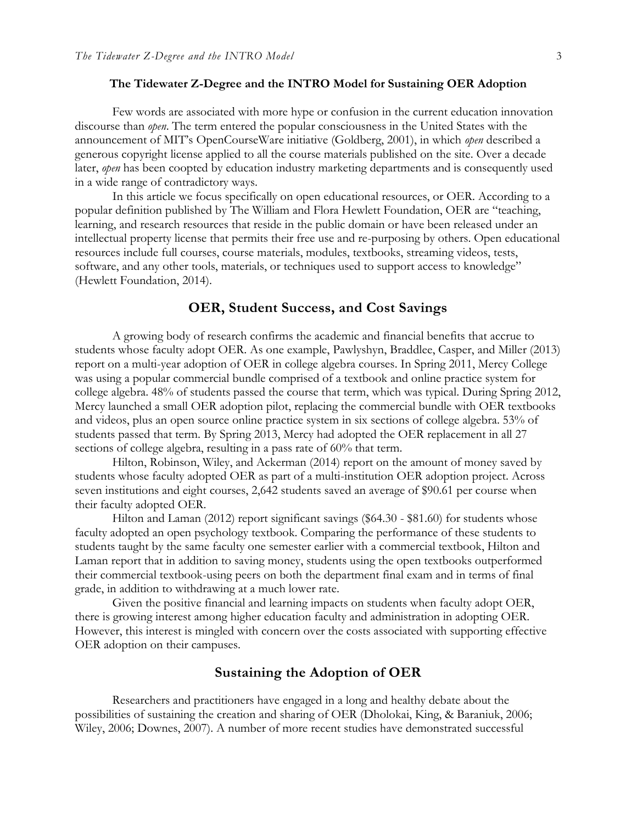#### **The Tidewater Z-Degree and the INTRO Model for Sustaining OER Adoption**

Few words are associated with more hype or confusion in the current education innovation discourse than *open*. The term entered the popular consciousness in the United States with the announcement of MIT's OpenCourseWare initiative (Goldberg, 2001), in which *open* described a generous copyright license applied to all the course materials published on the site. Over a decade later, *open* has been coopted by education industry marketing departments and is consequently used in a wide range of contradictory ways.

In this article we focus specifically on open educational resources, or OER. According to a popular definition published by The William and Flora Hewlett Foundation, OER are "teaching, learning, and research resources that reside in the public domain or have been released under an intellectual property license that permits their free use and re-purposing by others. Open educational resources include full courses, course materials, modules, textbooks, streaming videos, tests, software, and any other tools, materials, or techniques used to support access to knowledge" (Hewlett Foundation, 2014).

# **OER, Student Success, and Cost Savings**

A growing body of research confirms the academic and financial benefits that accrue to students whose faculty adopt OER. As one example, Pawlyshyn, Braddlee, Casper, and Miller (2013) report on a multi-year adoption of OER in college algebra courses. In Spring 2011, Mercy College was using a popular commercial bundle comprised of a textbook and online practice system for college algebra. 48% of students passed the course that term, which was typical. During Spring 2012, Mercy launched a small OER adoption pilot, replacing the commercial bundle with OER textbooks and videos, plus an open source online practice system in six sections of college algebra. 53% of students passed that term. By Spring 2013, Mercy had adopted the OER replacement in all 27 sections of college algebra, resulting in a pass rate of 60% that term.

Hilton, Robinson, Wiley, and Ackerman (2014) report on the amount of money saved by students whose faculty adopted OER as part of a multi-institution OER adoption project. Across seven institutions and eight courses, 2,642 students saved an average of \$90.61 per course when their faculty adopted OER.

Hilton and Laman (2012) report significant savings (\$64.30 - \$81.60) for students whose faculty adopted an open psychology textbook. Comparing the performance of these students to students taught by the same faculty one semester earlier with a commercial textbook, Hilton and Laman report that in addition to saving money, students using the open textbooks outperformed their commercial textbook-using peers on both the department final exam and in terms of final grade, in addition to withdrawing at a much lower rate.

Given the positive financial and learning impacts on students when faculty adopt OER, there is growing interest among higher education faculty and administration in adopting OER. However, this interest is mingled with concern over the costs associated with supporting effective OER adoption on their campuses.

# **Sustaining the Adoption of OER**

Researchers and practitioners have engaged in a long and healthy debate about the possibilities of sustaining the creation and sharing of OER (Dholokai, King, & Baraniuk, 2006; Wiley, 2006; Downes, 2007). A number of more recent studies have demonstrated successful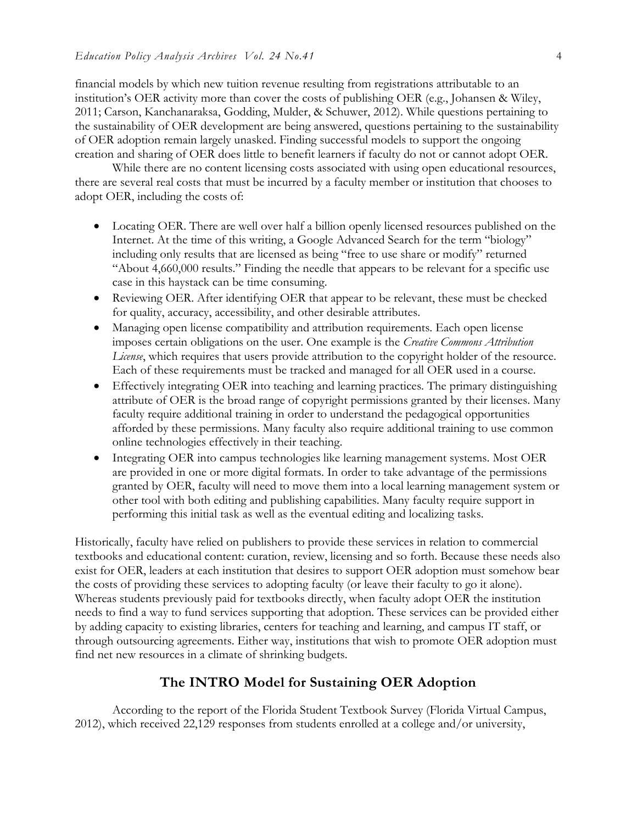financial models by which new tuition revenue resulting from registrations attributable to an institution's OER activity more than cover the costs of publishing OER (e.g., Johansen & Wiley, 2011; Carson, Kanchanaraksa, Godding, Mulder, & Schuwer, 2012). While questions pertaining to the sustainability of OER development are being answered, questions pertaining to the sustainability of OER adoption remain largely unasked. Finding successful models to support the ongoing creation and sharing of OER does little to benefit learners if faculty do not or cannot adopt OER.

While there are no content licensing costs associated with using open educational resources, there are several real costs that must be incurred by a faculty member or institution that chooses to adopt OER, including the costs of:

- Locating OER. There are well over half a billion openly licensed resources published on the Internet. At the time of this writing, a Google Advanced Search for the term "biology" including only results that are licensed as being "free to use share or modify" returned "About 4,660,000 results." Finding the needle that appears to be relevant for a specific use case in this haystack can be time consuming.
- Reviewing OER. After identifying OER that appear to be relevant, these must be checked for quality, accuracy, accessibility, and other desirable attributes.
- Managing open license compatibility and attribution requirements. Each open license imposes certain obligations on the user. One example is the *Creative Commons Attribution License*, which requires that users provide attribution to the copyright holder of the resource. Each of these requirements must be tracked and managed for all OER used in a course.
- Effectively integrating OER into teaching and learning practices. The primary distinguishing attribute of OER is the broad range of copyright permissions granted by their licenses. Many faculty require additional training in order to understand the pedagogical opportunities afforded by these permissions. Many faculty also require additional training to use common online technologies effectively in their teaching.
- Integrating OER into campus technologies like learning management systems. Most OER are provided in one or more digital formats. In order to take advantage of the permissions granted by OER, faculty will need to move them into a local learning management system or other tool with both editing and publishing capabilities. Many faculty require support in performing this initial task as well as the eventual editing and localizing tasks.

Historically, faculty have relied on publishers to provide these services in relation to commercial textbooks and educational content: curation, review, licensing and so forth. Because these needs also exist for OER, leaders at each institution that desires to support OER adoption must somehow bear the costs of providing these services to adopting faculty (or leave their faculty to go it alone). Whereas students previously paid for textbooks directly, when faculty adopt OER the institution needs to find a way to fund services supporting that adoption. These services can be provided either by adding capacity to existing libraries, centers for teaching and learning, and campus IT staff, or through outsourcing agreements. Either way, institutions that wish to promote OER adoption must find net new resources in a climate of shrinking budgets.

# **The INTRO Model for Sustaining OER Adoption**

According to the report of the Florida Student Textbook Survey (Florida Virtual Campus, 2012), which received 22,129 responses from students enrolled at a college and/or university,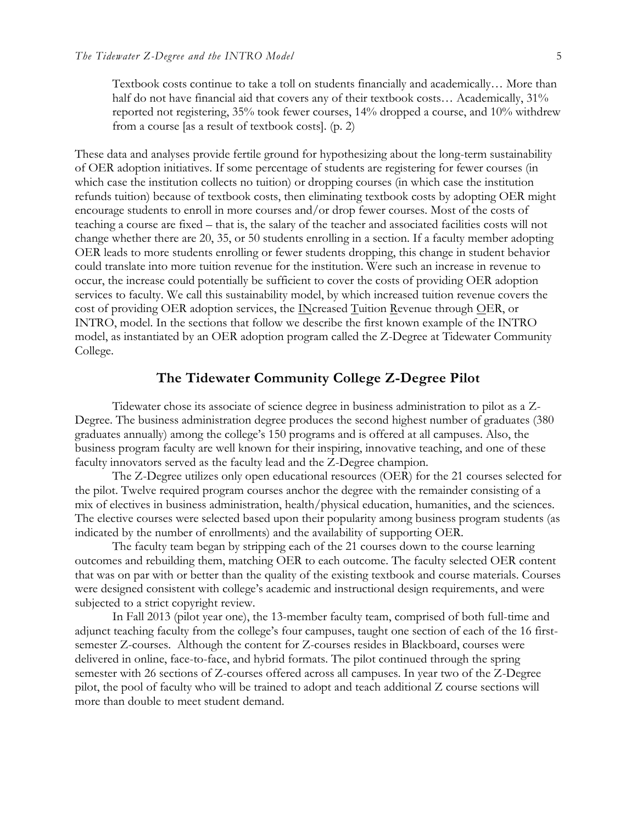Textbook costs continue to take a toll on students financially and academically… More than half do not have financial aid that covers any of their textbook costs... Academically, 31% reported not registering, 35% took fewer courses, 14% dropped a course, and 10% withdrew from a course [as a result of textbook costs]. (p. 2)

These data and analyses provide fertile ground for hypothesizing about the long-term sustainability of OER adoption initiatives. If some percentage of students are registering for fewer courses (in which case the institution collects no tuition) or dropping courses (in which case the institution refunds tuition) because of textbook costs, then eliminating textbook costs by adopting OER might encourage students to enroll in more courses and/or drop fewer courses. Most of the costs of teaching a course are fixed – that is, the salary of the teacher and associated facilities costs will not change whether there are 20, 35, or 50 students enrolling in a section. If a faculty member adopting OER leads to more students enrolling or fewer students dropping, this change in student behavior could translate into more tuition revenue for the institution. Were such an increase in revenue to occur, the increase could potentially be sufficient to cover the costs of providing OER adoption services to faculty. We call this sustainability model, by which increased tuition revenue covers the cost of providing OER adoption services, the INcreased Tuition Revenue through OER, or INTRO, model. In the sections that follow we describe the first known example of the INTRO model, as instantiated by an OER adoption program called the Z-Degree at Tidewater Community College.

# **The Tidewater Community College Z-Degree Pilot**

Tidewater chose its associate of science degree in business administration to pilot as a Z-Degree. The business administration degree produces the second highest number of graduates (380 graduates annually) among the college's 150 programs and is offered at all campuses. Also, the business program faculty are well known for their inspiring, innovative teaching, and one of these faculty innovators served as the faculty lead and the Z-Degree champion.

The Z-Degree utilizes only open educational resources (OER) for the 21 courses selected for the pilot. Twelve required program courses anchor the degree with the remainder consisting of a mix of electives in business administration, health/physical education, humanities, and the sciences. The elective courses were selected based upon their popularity among business program students (as indicated by the number of enrollments) and the availability of supporting OER.

The faculty team began by stripping each of the 21 courses down to the course learning outcomes and rebuilding them, matching OER to each outcome. The faculty selected OER content that was on par with or better than the quality of the existing textbook and course materials. Courses were designed consistent with college's academic and instructional design requirements, and were subjected to a strict copyright review.

In Fall 2013 (pilot year one), the 13-member faculty team, comprised of both full-time and adjunct teaching faculty from the college's four campuses, taught one section of each of the 16 firstsemester Z-courses. Although the content for Z-courses resides in Blackboard, courses were delivered in online, face-to-face, and hybrid formats. The pilot continued through the spring semester with 26 sections of Z-courses offered across all campuses. In year two of the Z-Degree pilot, the pool of faculty who will be trained to adopt and teach additional Z course sections will more than double to meet student demand.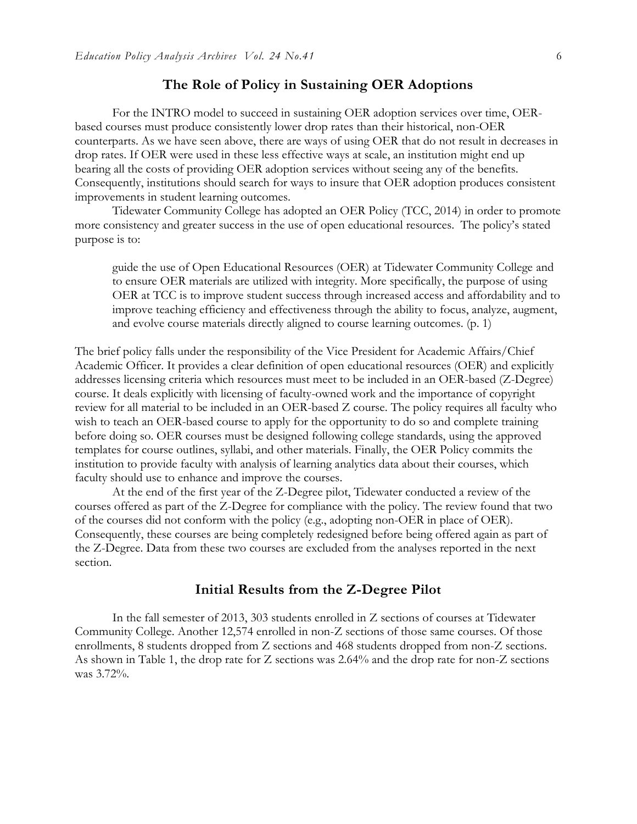# **The Role of Policy in Sustaining OER Adoptions**

For the INTRO model to succeed in sustaining OER adoption services over time, OERbased courses must produce consistently lower drop rates than their historical, non-OER counterparts. As we have seen above, there are ways of using OER that do not result in decreases in drop rates. If OER were used in these less effective ways at scale, an institution might end up bearing all the costs of providing OER adoption services without seeing any of the benefits. Consequently, institutions should search for ways to insure that OER adoption produces consistent improvements in student learning outcomes.

Tidewater Community College has adopted an OER Policy (TCC, 2014) in order to promote more consistency and greater success in the use of open educational resources. The policy's stated purpose is to:

guide the use of Open Educational Resources (OER) at Tidewater Community College and to ensure OER materials are utilized with integrity. More specifically, the purpose of using OER at TCC is to improve student success through increased access and affordability and to improve teaching efficiency and effectiveness through the ability to focus, analyze, augment, and evolve course materials directly aligned to course learning outcomes. (p. 1)

The brief policy falls under the responsibility of the Vice President for Academic Affairs/Chief Academic Officer. It provides a clear definition of open educational resources (OER) and explicitly addresses licensing criteria which resources must meet to be included in an OER-based (Z-Degree) course. It deals explicitly with licensing of faculty-owned work and the importance of copyright review for all material to be included in an OER-based Z course. The policy requires all faculty who wish to teach an OER-based course to apply for the opportunity to do so and complete training before doing so. OER courses must be designed following college standards, using the approved templates for course outlines, syllabi, and other materials. Finally, the OER Policy commits the institution to provide faculty with analysis of learning analytics data about their courses, which faculty should use to enhance and improve the courses.

At the end of the first year of the Z-Degree pilot, Tidewater conducted a review of the courses offered as part of the Z-Degree for compliance with the policy. The review found that two of the courses did not conform with the policy (e.g., adopting non-OER in place of OER). Consequently, these courses are being completely redesigned before being offered again as part of the Z-Degree. Data from these two courses are excluded from the analyses reported in the next section.

## **Initial Results from the Z-Degree Pilot**

In the fall semester of 2013, 303 students enrolled in Z sections of courses at Tidewater Community College. Another 12,574 enrolled in non-Z sections of those same courses. Of those enrollments, 8 students dropped from Z sections and 468 students dropped from non-Z sections. As shown in Table 1, the drop rate for Z sections was 2.64% and the drop rate for non-Z sections was 3.72%.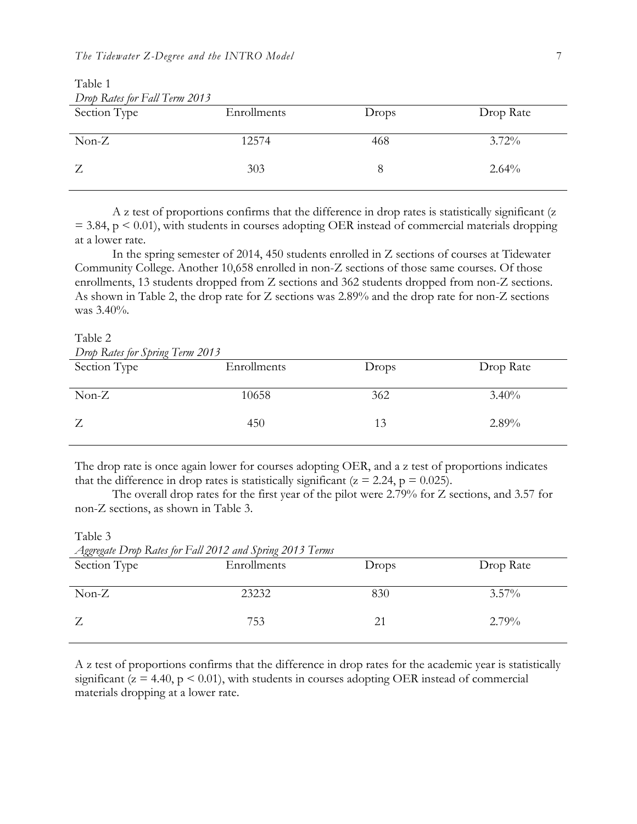| Drop Rates for Fall Term 2013 |             |       |           |  |  |
|-------------------------------|-------------|-------|-----------|--|--|
| Section Type                  | Enrollments | Drops | Drop Rate |  |  |
|                               |             |       |           |  |  |
| $Non-Z$                       | 12574       | 468   | $3.72\%$  |  |  |
|                               |             |       |           |  |  |
| Z                             | 303         |       | 2.64%     |  |  |
|                               |             |       |           |  |  |

Table 1 *Drop Rates for Fall Term 2013*

A z test of proportions confirms that the difference in drop rates is statistically significant (z  $= 3.84$ ,  $p < 0.01$ ), with students in courses adopting OER instead of commercial materials dropping at a lower rate.

In the spring semester of 2014, 450 students enrolled in Z sections of courses at Tidewater Community College. Another 10,658 enrolled in non-Z sections of those same courses. Of those enrollments, 13 students dropped from Z sections and 362 students dropped from non-Z sections. As shown in Table 2, the drop rate for Z sections was 2.89% and the drop rate for non-Z sections was 3.40%.

#### Table 2

Table 3

| Drop Rates for Spring Term 2013 |             |       |           |  |  |
|---------------------------------|-------------|-------|-----------|--|--|
| Section Type                    | Enrollments | Drops | Drop Rate |  |  |
|                                 |             |       |           |  |  |
| $Non-Z$                         | 10658       | 362   | 3.40%     |  |  |
|                                 |             |       |           |  |  |
| Z                               | 450         | 13    | 2.89%     |  |  |
|                                 |             |       |           |  |  |

The drop rate is once again lower for courses adopting OER, and a z test of proportions indicates that the difference in drop rates is statistically significant ( $z = 2.24$ ,  $p = 0.025$ ).

The overall drop rates for the first year of the pilot were 2.79% for Z sections, and 3.57 for non-Z sections, as shown in Table 3.

| Aggregate Drop Rates for Fall 2012 and Spring 2013 Terms |             |       |           |  |  |  |
|----------------------------------------------------------|-------------|-------|-----------|--|--|--|
| Section Type                                             | Enrollments | Drops | Drop Rate |  |  |  |
|                                                          |             |       |           |  |  |  |
| $Non-Z$                                                  | 23232       | 830   | $3.57\%$  |  |  |  |
|                                                          |             |       |           |  |  |  |
| Z                                                        | 753         | 21    | $2.79\%$  |  |  |  |
|                                                          |             |       |           |  |  |  |

*Aggregate Drop Rates for Fall 2012 and Spring 2013 Terms*

A z test of proportions confirms that the difference in drop rates for the academic year is statistically significant ( $z = 4.40$ ,  $p \le 0.01$ ), with students in courses adopting OER instead of commercial materials dropping at a lower rate.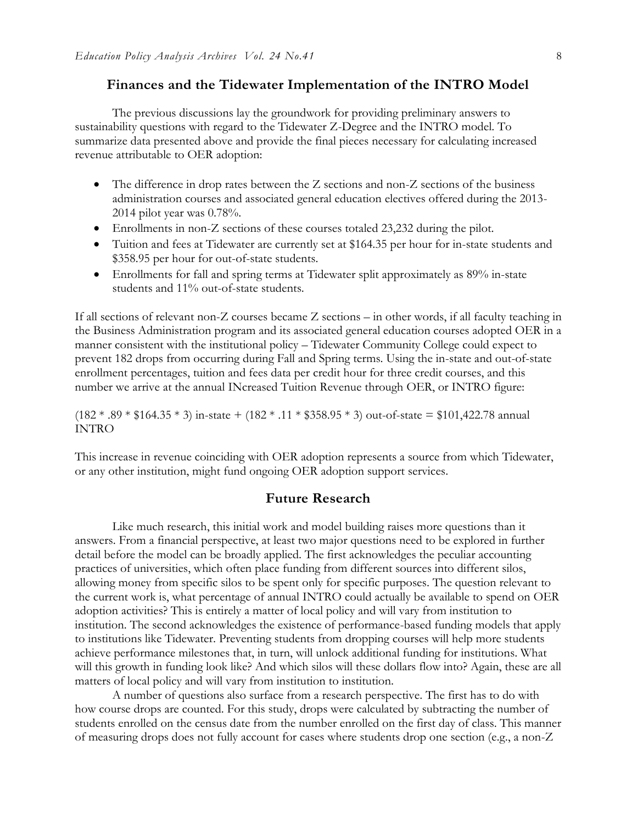# **Finances and the Tidewater Implementation of the INTRO Model**

The previous discussions lay the groundwork for providing preliminary answers to sustainability questions with regard to the Tidewater Z-Degree and the INTRO model. To summarize data presented above and provide the final pieces necessary for calculating increased revenue attributable to OER adoption:

- The difference in drop rates between the Z sections and non-Z sections of the business administration courses and associated general education electives offered during the 2013- 2014 pilot year was 0.78%.
- Enrollments in non-Z sections of these courses totaled 23,232 during the pilot.
- Tuition and fees at Tidewater are currently set at \$164.35 per hour for in-state students and \$358.95 per hour for out-of-state students.
- Enrollments for fall and spring terms at Tidewater split approximately as 89% in-state students and 11% out-of-state students.

If all sections of relevant non-Z courses became Z sections – in other words, if all faculty teaching in the Business Administration program and its associated general education courses adopted OER in a manner consistent with the institutional policy – Tidewater Community College could expect to prevent 182 drops from occurring during Fall and Spring terms. Using the in-state and out-of-state enrollment percentages, tuition and fees data per credit hour for three credit courses, and this number we arrive at the annual INcreased Tuition Revenue through OER, or INTRO figure:

 $(182 * .89 * $164.35 * 3)$  in-state +  $(182 * .11 * $358.95 * 3)$  out-of-state = \$101,422.78 annual INTRO

This increase in revenue coinciding with OER adoption represents a source from which Tidewater, or any other institution, might fund ongoing OER adoption support services.

# **Future Research**

Like much research, this initial work and model building raises more questions than it answers. From a financial perspective, at least two major questions need to be explored in further detail before the model can be broadly applied. The first acknowledges the peculiar accounting practices of universities, which often place funding from different sources into different silos, allowing money from specific silos to be spent only for specific purposes. The question relevant to the current work is, what percentage of annual INTRO could actually be available to spend on OER adoption activities? This is entirely a matter of local policy and will vary from institution to institution. The second acknowledges the existence of performance-based funding models that apply to institutions like Tidewater. Preventing students from dropping courses will help more students achieve performance milestones that, in turn, will unlock additional funding for institutions. What will this growth in funding look like? And which silos will these dollars flow into? Again, these are all matters of local policy and will vary from institution to institution.

A number of questions also surface from a research perspective. The first has to do with how course drops are counted. For this study, drops were calculated by subtracting the number of students enrolled on the census date from the number enrolled on the first day of class. This manner of measuring drops does not fully account for cases where students drop one section (e.g., a non-Z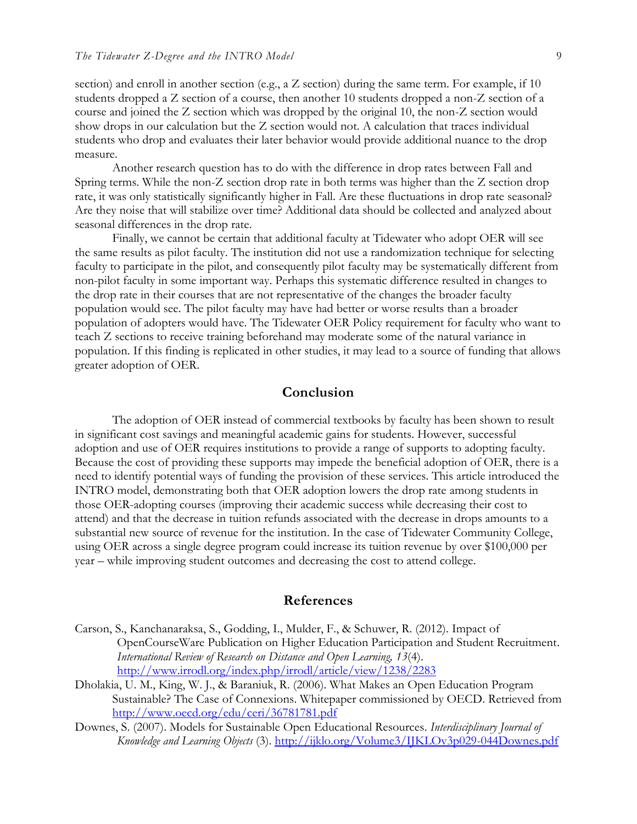section) and enroll in another section (e.g., a Z section) during the same term. For example, if 10 students dropped a Z section of a course, then another 10 students dropped a non-Z section of a course and joined the Z section which was dropped by the original 10, the non-Z section would show drops in our calculation but the Z section would not. A calculation that traces individual students who drop and evaluates their later behavior would provide additional nuance to the drop measure.

Another research question has to do with the difference in drop rates between Fall and Spring terms. While the non-Z section drop rate in both terms was higher than the Z section drop rate, it was only statistically significantly higher in Fall. Are these fluctuations in drop rate seasonal? Are they noise that will stabilize over time? Additional data should be collected and analyzed about seasonal differences in the drop rate.

Finally, we cannot be certain that additional faculty at Tidewater who adopt OER will see the same results as pilot faculty. The institution did not use a randomization technique for selecting faculty to participate in the pilot, and consequently pilot faculty may be systematically different from non-pilot faculty in some important way. Perhaps this systematic difference resulted in changes to the drop rate in their courses that are not representative of the changes the broader faculty population would see. The pilot faculty may have had better or worse results than a broader population of adopters would have. The Tidewater OER Policy requirement for faculty who want to teach Z sections to receive training beforehand may moderate some of the natural variance in population. If this finding is replicated in other studies, it may lead to a source of funding that allows greater adoption of OER.

### **Conclusion**

The adoption of OER instead of commercial textbooks by faculty has been shown to result in significant cost savings and meaningful academic gains for students. However, successful adoption and use of OER requires institutions to provide a range of supports to adopting faculty. Because the cost of providing these supports may impede the beneficial adoption of OER, there is a need to identify potential ways of funding the provision of these services. This article introduced the INTRO model, demonstrating both that OER adoption lowers the drop rate among students in those OER-adopting courses (improving their academic success while decreasing their cost to attend) and that the decrease in tuition refunds associated with the decrease in drops amounts to a substantial new source of revenue for the institution. In the case of Tidewater Community College, using OER across a single degree program could increase its tuition revenue by over \$100,000 per year – while improving student outcomes and decreasing the cost to attend college.

#### **References**

- Carson, S., Kanchanaraksa, S., Godding, I., Mulder, F., & Schuwer, R. (2012). Impact of OpenCourseWare Publication on Higher Education Participation and Student Recruitment. *International Review of Research on Distance and Open Learning, 13*(4). <http://www.irrodl.org/index.php/irrodl/article/view/1238/2283>
- Dholakia, U. M., King, W. J., & Baraniuk, R. (2006). What Makes an Open Education Program Sustainable? The Case of Connexions. Whitepaper commissioned by OECD. Retrieved from <http://www.oecd.org/edu/ceri/36781781.pdf>
- Downes, S. (2007). Models for Sustainable Open Educational Resources. *Interdisciplinary Journal of Knowledge and Learning Objects* (3).<http://ijklo.org/Volume3/IJKLOv3p029-044Downes.pdf>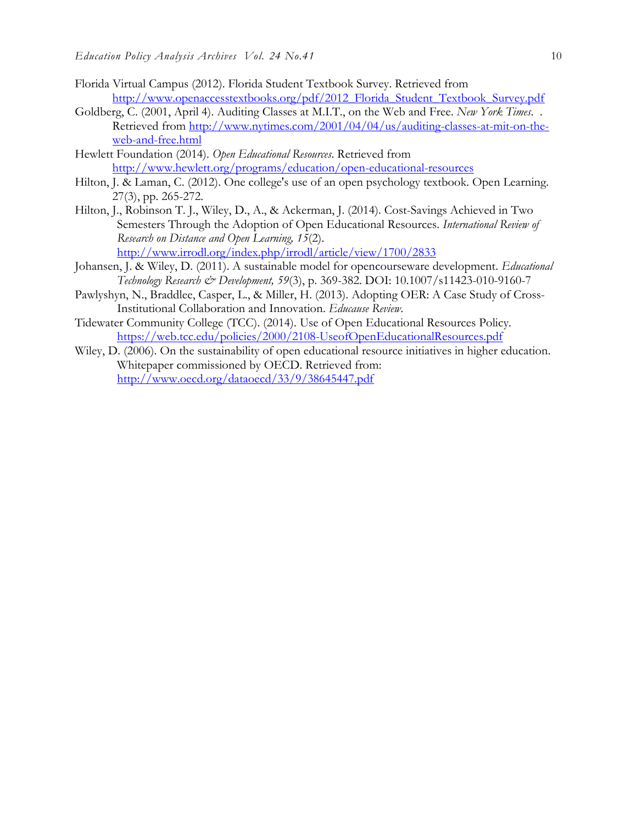- Florida Virtual Campus (2012). Florida Student Textbook Survey. Retrieved from [http://www.openaccesstextbooks.org/pdf/2012\\_Florida\\_Student\\_Textbook\\_Survey.pdf](http://www.openaccesstextbooks.org/pdf/2012_Florida_Student_Textbook_Survey.pdf)
- Goldberg, C. (2001, April 4). Auditing Classes at M.I.T., on the Web and Free. *New York Times*. . Retrieved from [http://www.nytimes.com/2001/04/04/us/auditing-classes-at-mit-on-the](http://www.nytimes.com/2001/04/04/us/auditing-classes-at-mit-on-the-web-and-free.html)[web-and-free.html](http://www.nytimes.com/2001/04/04/us/auditing-classes-at-mit-on-the-web-and-free.html)
- Hewlett Foundation (2014). *Open Educational Resources*. Retrieved from <http://www.hewlett.org/programs/education/open-educational-resources>
- Hilton, J. & Laman, C. (2012). One college's use of an open psychology textbook. Open Learning. 27(3), pp. 265-272.
- Hilton, J., Robinson T. J., Wiley, D., A., & Ackerman, J. (2014). Cost-Savings Achieved in Two Semesters Through the Adoption of Open Educational Resources. *International Review of Research on Distance and Open Learning, 15*(2). <http://www.irrodl.org/index.php/irrodl/article/view/1700/2833>
- Johansen, J. & Wiley, D. (2011). A sustainable model for opencourseware development. *Educational Technology Research & Development, 59*(3), p. 369-382. DOI: 10.1007/s11423-010-9160-7
- Pawlyshyn, N., Braddlee, Casper, L., & Miller, H. (2013). Adopting OER: A Case Study of Cross-Institutional Collaboration and Innovation. *Educause Review*.
- Tidewater Community College (TCC). (2014). Use of Open Educational Resources Policy. <https://web.tcc.edu/policies/2000/2108-UseofOpenEducationalResources.pdf>
- Wiley, D. (2006). On the sustainability of open educational resource initiatives in higher education. Whitepaper commissioned by OECD. Retrieved from: <http://www.oecd.org/dataoecd/33/9/38645447.pdf>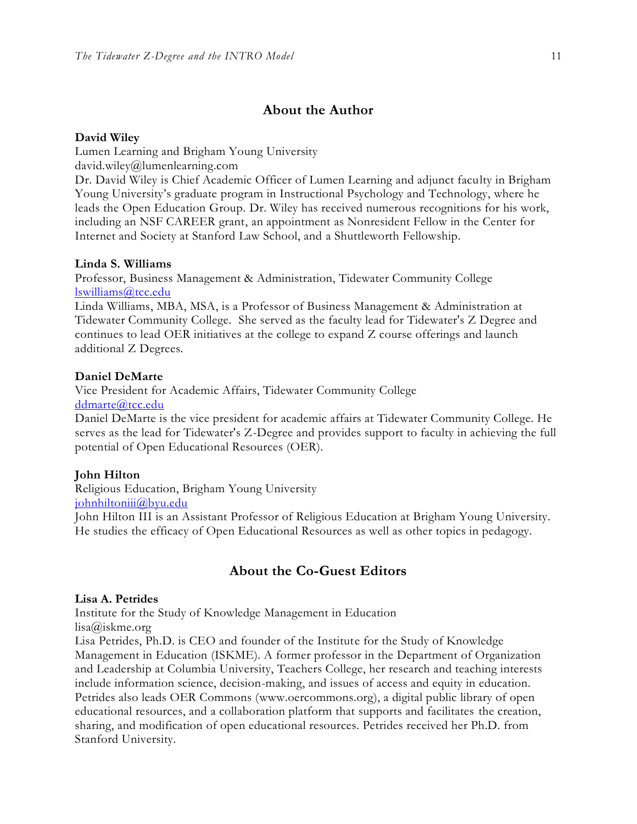## **About the Author**

#### **David Wiley**

Lumen Learning and Brigham Young University

david.wiley@lumenlearning.com

Dr. David Wiley is Chief Academic Officer of Lumen Learning and adjunct faculty in Brigham Young University's graduate program in Instructional Psychology and Technology, where he leads the Open Education Group. Dr. Wiley has received numerous recognitions for his work, including an NSF CAREER grant, an appointment as Nonresident Fellow in the Center for Internet and Society at Stanford Law School, and a Shuttleworth Fellowship.

#### **Linda S. Williams**

Professor, Business Management & Administration, Tidewater Community College [lswilliams@tcc.edu](mailto:lswilliams@tcc.edu)

Linda Williams, MBA, MSA, is a Professor of Business Management & Administration at Tidewater Community College. She served as the faculty lead for Tidewater's Z Degree and continues to lead OER initiatives at the college to expand Z course offerings and launch additional Z Degrees.

#### **Daniel DeMarte**

Vice President for Academic Affairs, Tidewater Community College [ddmarte@tcc.edu](mailto:ddmarte@tcc.edu)

Daniel DeMarte is the vice president for academic affairs at Tidewater Community College. He serves as the lead for Tidewater's Z-Degree and provides support to faculty in achieving the full potential of Open Educational Resources (OER).

#### **John Hilton**

Religious Education, Brigham Young University

[johnhiltoniii@byu.edu](mailto:johnhiltoniii@byu.edu)

John Hilton III is an Assistant Professor of Religious Education at Brigham Young University. He studies the efficacy of Open Educational Resources as well as other topics in pedagogy.

# **About the Co-Guest Editors**

#### **Lisa A. Petrides**

Institute for the Study of Knowledge Management in Education lisa@iskme.org

Lisa Petrides, Ph.D. is CEO and founder of the Institute for the Study of Knowledge Management in Education (ISKME). A former professor in the Department of Organization and Leadership at Columbia University, Teachers College, her research and teaching interests include information science, decision-making, and issues of access and equity in education. Petrides also leads OER Commons [\(www.oercommons.org\)](http://www.oercommons.org/), a digital public library of open educational resources, and a collaboration platform that supports and facilitates the creation, sharing, and modification of open educational resources. Petrides received her Ph.D. from Stanford University.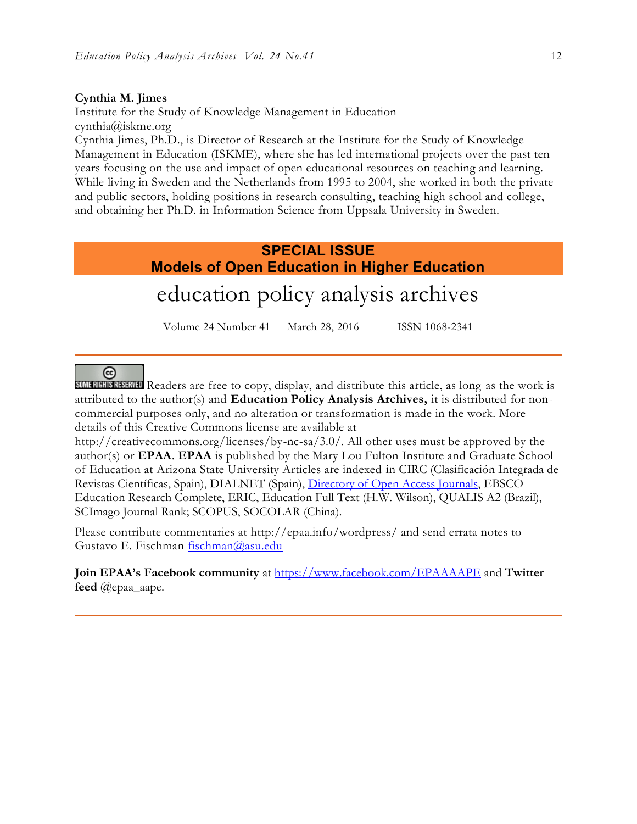#### **Cynthia M. Jimes**

Institute for the Study of Knowledge Management in Education cynthia@iskme.org

Cynthia Jimes, Ph.D., is Director of Research at the Institute for the Study of Knowledge Management in Education (ISKME), where she has led international projects over the past ten years focusing on the use and impact of open educational resources on teaching and learning. While living in Sweden and the Netherlands from 1995 to 2004, she worked in both the private and public sectors, holding positions in research consulting, teaching high school and college, and obtaining her Ph.D. in Information Science from Uppsala University in Sweden.

# **SPECIAL ISSUE Models of Open Education in Higher Education** education policy analysis archives

Volume 24 Number 41 March 28, 2016 ISSN 1068-2341

# $(c<sub>c</sub>)$

Readers are free to copy, display, and distribute this article, as long as the work is attributed to the author(s) and **Education Policy Analysis Archives,** it is distributed for noncommercial purposes only, and no alteration or transformation is made in the work. More details of this Creative Commons license are available at

http://creativecommons.org/licenses/by-nc-sa/3.0/. All other uses must be approved by the author(s) or **EPAA**. **EPAA** is published by the Mary Lou Fulton Institute and Graduate School of Education at Arizona State University Articles are indexed in CIRC (Clasificación Integrada de Revistas Científicas, Spain), DIALNET (Spain), [Directory of Open Access Journals,](http://www.doaj.org/) EBSCO Education Research Complete, ERIC, Education Full Text (H.W. Wilson), QUALIS A2 (Brazil), SCImago Journal Rank; SCOPUS, SOCOLAR (China).

Please contribute commentaries at http://epaa.info/wordpress/ and send errata notes to Gustavo E. Fischman [fischman@asu.edu](mailto:fischman@asu.edu)

**Join EPAA's Facebook community** at<https://www.facebook.com/EPAAAAPE> and **Twitter feed** @epaa\_aape.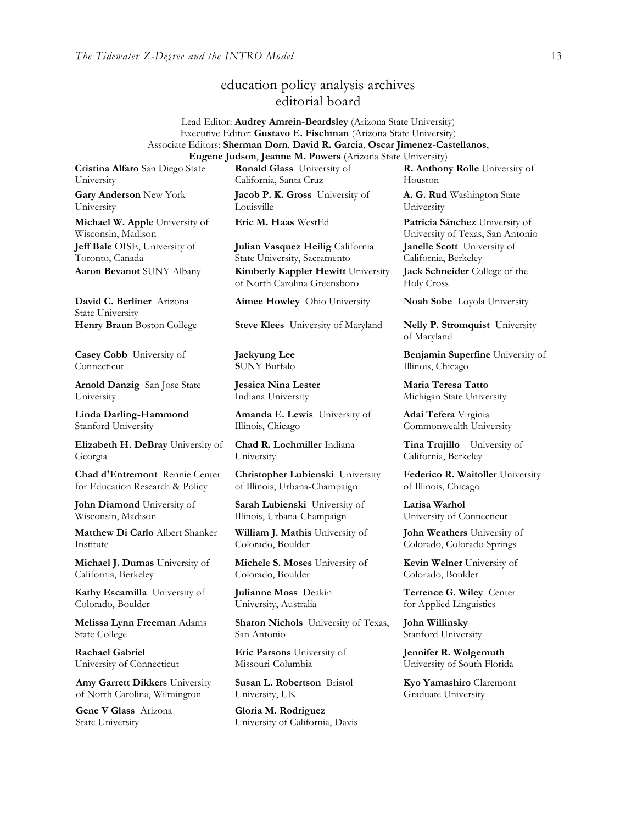# education policy analysis archives editorial board

#### Lead Editor: **Audrey Amrein-Beardsley** (Arizona State University) Executive Editor: **Gustavo E. Fischman** (Arizona State University) Associate Editors: **Sherman Dorn**, **David R. Garcia**, **Oscar Jimenez-Castellanos**, **Eugene Judson**, **Jeanne M. Powers** (Arizona State University)

**Cristina Alfaro** San Diego State University

**Gary Anderson** New York University

**Michael W. Apple** University of Wisconsin, Madison **Jeff Bale** OISE, University of Toronto, Canada

**David C. Berliner** Arizona State University

**Casey Cobb** University of **Connecticut** 

**Arnold Danzig** San Jose State University

**Linda Darling-Hammond**  Stanford University

**Elizabeth H. DeBray** University of Georgia

**Chad d'Entremont** Rennie Center for Education Research & Policy

**John Diamond** University of Wisconsin, Madison

**Matthew Di Carlo** Albert Shanker Institute

**Michael J. Dumas** University of California, Berkeley

**Kathy Escamilla** University of Colorado, Boulder

**Melissa Lynn Freeman** Adams State College

**Rachael Gabriel** University of Connecticut

**Amy Garrett Dikkers** University of North Carolina, Wilmington

**Gene V Glass** Arizona State University

**Ronald Glass** University of California, Santa Cruz

**Jacob P. K. Gross** University of Louisville

**Julian Vasquez Heilig** California State University, Sacramento **Aaron Bevanot** SUNY Albany **Kimberly Kappler Hewitt** University of North Carolina Greensboro

**Aimee Howley** Ohio University **Noah Sobe** Loyola University

**Henry Braun** Boston College **Steve Klees** University of Maryland **Nelly P. Stromquist** University

**Jaekyung Lee S**UNY Buffalo

**Jessica Nina Lester** Indiana University

**Amanda E. Lewis** University of Illinois, Chicago

**Chad R. Lochmiller** Indiana University

**Christopher Lubienski** University of Illinois, Urbana-Champaign

**Sarah Lubienski** University of Illinois, Urbana-Champaign

**William J. Mathis** University of Colorado, Boulder

**Michele S. Moses** University of Colorado, Boulder

**Julianne Moss** Deakin University, Australia

**Sharon Nichols** University of Texas, San Antonio

**Eric Parsons** University of Missouri-Columbia

**Susan L. Robertson** Bristol University, UK

**Gloria M. Rodriguez** University of California, Davis **R. Anthony Rolle** University of Houston

**A. G. Rud** Washington State University

**Eric M. Haas** WestEd **Patricia Sánchez** University of University of Texas, San Antonio **Janelle Scott** University of California, Berkeley

**Jack Schneider** College of the Holy Cross

of Maryland

**Benjamin Superfine** University of Illinois, Chicago

**Maria Teresa Tatto**  Michigan State University

**Adai Tefera** Virginia Commonwealth University

**Tina Trujillo** University of California, Berkeley

**Federico R. Waitoller** University of Illinois, Chicago

**Larisa Warhol** University of Connecticut

**John Weathers** University of Colorado, Colorado Springs

**Kevin Welner** University of Colorado, Boulder

**Terrence G. Wiley** Center for Applied Linguistics

**John Willinsky**  Stanford University

**Jennifer R. Wolgemuth**  University of South Florida

**Kyo Yamashiro** Claremont Graduate University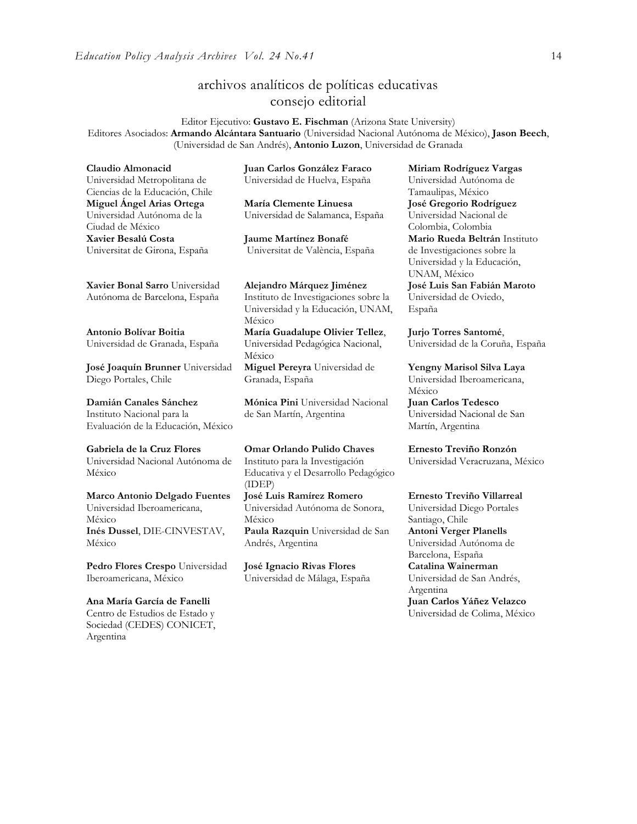# archivos analíticos de políticas educativas consejo editorial

Editor Ejecutivo: **Gustavo E. Fischman** (Arizona State University) Editores Asociados: **Armando Alcántara Santuario** (Universidad Nacional Autónoma de México), **Jason Beech**, (Universidad de San Andrés), **Antonio Luzon**, Universidad de Granada

**Claudio Almonacid**

Universidad Metropolitana de Ciencias de la Educación, Chile **Miguel Ángel Arias Ortega**  Universidad Autónoma de la Ciudad de México **Xavier Besalú Costa**  Universitat de Girona, España

**[Xavier Bonal](javascript:openRTWindow() Sarro** Universidad Autónoma de Barcelona, España

**[Antonio Bolívar](javascript:openRTWindow() Boitia** Universidad de Granada, España

**[José Joaquín Brunner](javascript:openRTWindow()** Universidad Diego Portales, Chile

**[Damián Canales Sánchez](javascript:openRTWindow()** Instituto Nacional para la Evaluación de la Educación, México

**Gabriela de la Cruz Flores** Universidad Nacional Autónoma de México

**[Marco Antonio Delgado Fuentes](javascript:openRTWindow()** Universidad Iberoamericana, México **[Inés Dussel](javascript:openRTWindow()**, DIE-CINVESTAV, México

**[Pedro Flores Crespo](javascript:openRTWindow()** Universidad Iberoamericana, México

**Ana María García de Fanelli**  Centro de Estudios de Estado y Sociedad (CEDES) CONICET, Argentina

**Juan Carlos González Faraco**  Universidad de Huelva, España

**María Clemente Linuesa**  Universidad de Salamanca, España

**Jaume Martínez Bonafé** Universitat de València, España

**Alejandro Márquez Jiménez**  Instituto de Investigaciones sobre la Universidad y la Educación, UNAM, México **María Guadalupe Olivier Tellez**,

Universidad Pedagógica Nacional, México **[Miguel Pereyra](javascript:openRTWindow()** Universidad de

Granada, España

**[Mónica](javascript:openRTWindow() Pini** Universidad Nacional de San Martín, Argentina

**Omar Orlando Pulido Chaves** Instituto para la Investigación Educativa y el Desarrollo Pedagógico (IDEP)

**[José Luis Ramírez](javascript:openRTWindow() Romero** Universidad Autónoma de Sonora, México **[Paula Razquin](javascript:openRTWindow()** Universidad de San Andrés, Argentina

**José Ignacio Rivas Flores** Universidad de Málaga, España **[Miriam Rodríguez Vargas](javascript:openRTWindow()** Universidad Autónoma de Tamaulipas, México **José Gregorio Rodríguez**  Universidad Nacional de Colombia, Colombia **[Mario Rueda Beltrán](javascript:openRTWindow()** Instituto de Investigaciones sobre la Universidad y la Educación, UNAM, México **José Luis San Fabián Maroto**  Universidad de Oviedo, España

**[Jurjo Torres Santomé](javascript:openRTWindow()**, Universidad de la Coruña, España

**[Yengny Marisol Silva Laya](javascript:openRTWindow()** Universidad Iberoamericana, México

**Juan Carlos Tedesco** Universidad Nacional de San Martín, Argentina

**Ernesto Treviño Ronzón** Universidad Veracruzana, México

**[Ernesto Treviño](javascript:openRTWindow() Villarreal**

Universidad Diego Portales Santiago, Chile **[Antoni Verger Planells](javascript:openRTWindow()** Universidad Autónoma de Barcelona, España **[Catalina Wainerman](javascript:openRTWindow()** Universidad de San Andrés, Argentina **Juan Carlos Yáñez Velazco** Universidad de Colima, México